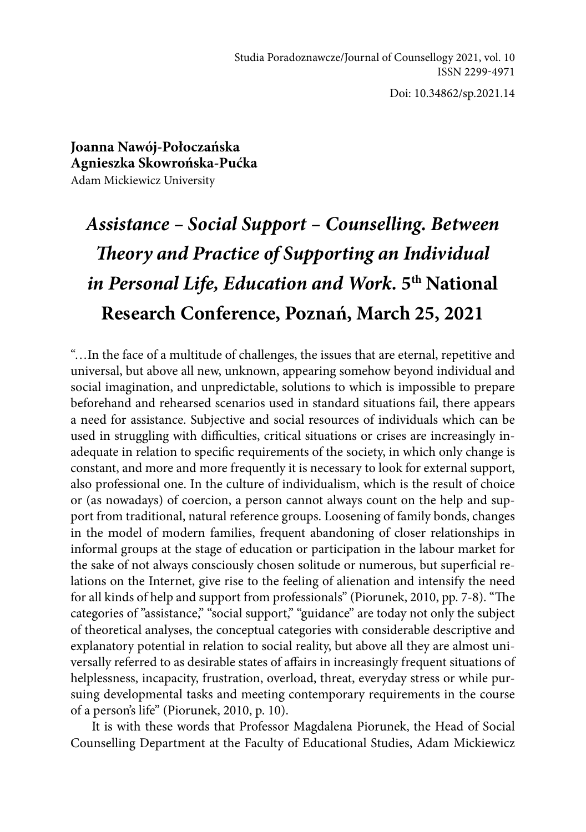Doi: 10.34862/sp.2021.14

**Joanna Nawój-Połoczańska Agnieszka Skowrońska-Pućka** Adam Mickiewicz University

## *Assistance – Social Support – Counselling. Between Theory and Practice of Supporting an Individual in Personal Life, Education and Work.* 5<sup>th</sup> National **Research Conference, Poznań, March 25, 2021**

"…In the face of a multitude of challenges, the issues that are eternal, repetitive and universal, but above all new, unknown, appearing somehow beyond individual and social imagination, and unpredictable, solutions to which is impossible to prepare beforehand and rehearsed scenarios used in standard situations fail, there appears a need for assistance. Subjective and social resources of individuals which can be used in struggling with difficulties, critical situations or crises are increasingly inadequate in relation to specific requirements of the society, in which only change is constant, and more and more frequently it is necessary to look for external support, also professional one. In the culture of individualism, which is the result of choice or (as nowadays) of coercion, a person cannot always count on the help and support from traditional, natural reference groups. Loosening of family bonds, changes in the model of modern families, frequent abandoning of closer relationships in informal groups at the stage of education or participation in the labour market for the sake of not always consciously chosen solitude or numerous, but superficial relations on the Internet, give rise to the feeling of alienation and intensify the need for all kinds of help and support from professionals" (Piorunek, 2010, pp. 7-8). "The categories of "assistance," "social support," "guidance" are today not only the subject of theoretical analyses, the conceptual categories with considerable descriptive and explanatory potential in relation to social reality, but above all they are almost universally referred to as desirable states of affairs in increasingly frequent situations of helplessness, incapacity, frustration, overload, threat, everyday stress or while pursuing developmental tasks and meeting contemporary requirements in the course of a person's life" (Piorunek, 2010, p. 10).

It is with these words that Professor Magdalena Piorunek, the Head of Social Counselling Department at the Faculty of Educational Studies, Adam Mickiewicz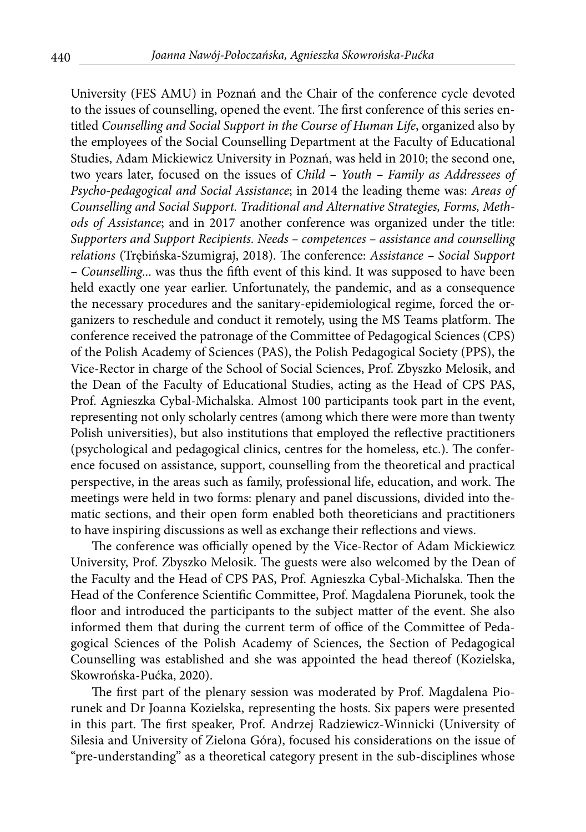University (FES AMU) in Poznań and the Chair of the conference cycle devoted to the issues of counselling, opened the event. The first conference of this series entitled *Counselling and Social Support in the Course of Human Life*, organized also by the employees of the Social Counselling Department at the Faculty of Educational Studies, Adam Mickiewicz University in Poznań, was held in 2010; the second one, two years later, focused on the issues of *Child – Youth – Family as Addressees of Psycho-pedagogical and Social Assistance*; in 2014 the leading theme was: *Areas of Counselling and Social Support. Traditional and Alternative Strategies, Forms, Methods of Assistance*; and in 2017 another conference was organized under the title: *Supporters and Support Recipients. Needs – competences – assistance and counselling relations* (Trębińska-Szumigraj, 2018). The conference: *Assistance – Social Support – Counselling*... was thus the fifth event of this kind. It was supposed to have been held exactly one year earlier. Unfortunately, the pandemic, and as a consequence the necessary procedures and the sanitary-epidemiological regime, forced the organizers to reschedule and conduct it remotely, using the MS Teams platform. The conference received the patronage of the Committee of Pedagogical Sciences (CPS) of the Polish Academy of Sciences (PAS), the Polish Pedagogical Society (PPS), the Vice-Rector in charge of the School of Social Sciences, Prof. Zbyszko Melosik, and the Dean of the Faculty of Educational Studies, acting as the Head of CPS PAS, Prof. Agnieszka Cybal-Michalska. Almost 100 participants took part in the event, representing not only scholarly centres (among which there were more than twenty Polish universities), but also institutions that employed the reflective practitioners (psychological and pedagogical clinics, centres for the homeless, etc.). The conference focused on assistance, support, counselling from the theoretical and practical perspective, in the areas such as family, professional life, education, and work. The meetings were held in two forms: plenary and panel discussions, divided into thematic sections, and their open form enabled both theoreticians and practitioners to have inspiring discussions as well as exchange their reflections and views.

The conference was officially opened by the Vice-Rector of Adam Mickiewicz University, Prof. Zbyszko Melosik. The guests were also welcomed by the Dean of the Faculty and the Head of CPS PAS, Prof. Agnieszka Cybal-Michalska. Then the Head of the Conference Scientific Committee, Prof. Magdalena Piorunek, took the floor and introduced the participants to the subject matter of the event. She also informed them that during the current term of office of the Committee of Pedagogical Sciences of the Polish Academy of Sciences, the Section of Pedagogical Counselling was established and she was appointed the head thereof (Kozielska, Skowrońska-Pućka, 2020).

The first part of the plenary session was moderated by Prof. Magdalena Piorunek and Dr Joanna Kozielska, representing the hosts. Six papers were presented in this part. The first speaker, Prof. Andrzej Radziewicz-Winnicki (University of Silesia and University of Zielona Góra), focused his considerations on the issue of "pre-understanding" as a theoretical category present in the sub-disciplines whose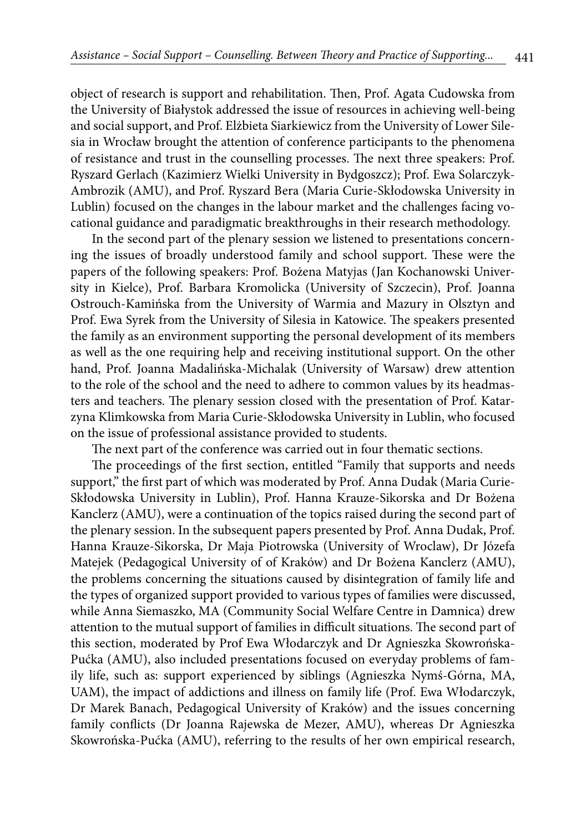object of research is support and rehabilitation. Then, Prof. Agata Cudowska from the University of Białystok addressed the issue of resources in achieving well-being and social support, and Prof. Elżbieta Siarkiewicz from the University of Lower Silesia in Wrocław brought the attention of conference participants to the phenomena of resistance and trust in the counselling processes. The next three speakers: Prof. Ryszard Gerlach (Kazimierz Wielki University in Bydgoszcz); Prof. Ewa Solarczyk-Ambrozik (AMU), and Prof. Ryszard Bera (Maria Curie-Skłodowska University in Lublin) focused on the changes in the labour market and the challenges facing vocational guidance and paradigmatic breakthroughs in their research methodology.

In the second part of the plenary session we listened to presentations concerning the issues of broadly understood family and school support. These were the papers of the following speakers: Prof. Bożena Matyjas (Jan Kochanowski University in Kielce), Prof. Barbara Kromolicka (University of Szczecin), Prof. Joanna Ostrouch-Kamińska from the University of Warmia and Mazury in Olsztyn and Prof. Ewa Syrek from the University of Silesia in Katowice. The speakers presented the family as an environment supporting the personal development of its members as well as the one requiring help and receiving institutional support. On the other hand, Prof. Joanna Madalińska-Michalak (University of Warsaw) drew attention to the role of the school and the need to adhere to common values by its headmasters and teachers. The plenary session closed with the presentation of Prof. Katarzyna Klimkowska from Maria Curie-Skłodowska University in Lublin, who focused on the issue of professional assistance provided to students.

The next part of the conference was carried out in four thematic sections.

The proceedings of the first section, entitled "Family that supports and needs support," the first part of which was moderated by Prof. Anna Dudak (Maria Curie-Skłodowska University in Lublin), Prof. Hanna Krauze-Sikorska and Dr Bożena Kanclerz (AMU), were a continuation of the topics raised during the second part of the plenary session. In the subsequent papers presented by Prof. Anna Dudak, Prof. Hanna Krauze-Sikorska, Dr Maja Piotrowska (University of Wroclaw), Dr Józefa Matejek (Pedagogical University of of Kraków) and Dr Bożena Kanclerz (AMU), the problems concerning the situations caused by disintegration of family life and the types of organized support provided to various types of families were discussed, while Anna Siemaszko, MA (Community Social Welfare Centre in Damnica) drew attention to the mutual support of families in difficult situations. The second part of this section, moderated by Prof Ewa Włodarczyk and Dr Agnieszka Skowrońska-Pućka (AMU), also included presentations focused on everyday problems of family life, such as: support experienced by siblings (Agnieszka Nymś-Górna, MA, UAM), the impact of addictions and illness on family life (Prof. Ewa Włodarczyk, Dr Marek Banach, Pedagogical University of Kraków) and the issues concerning family conflicts (Dr Joanna Rajewska de Mezer, AMU), whereas Dr Agnieszka Skowrońska-Pućka (AMU), referring to the results of her own empirical research,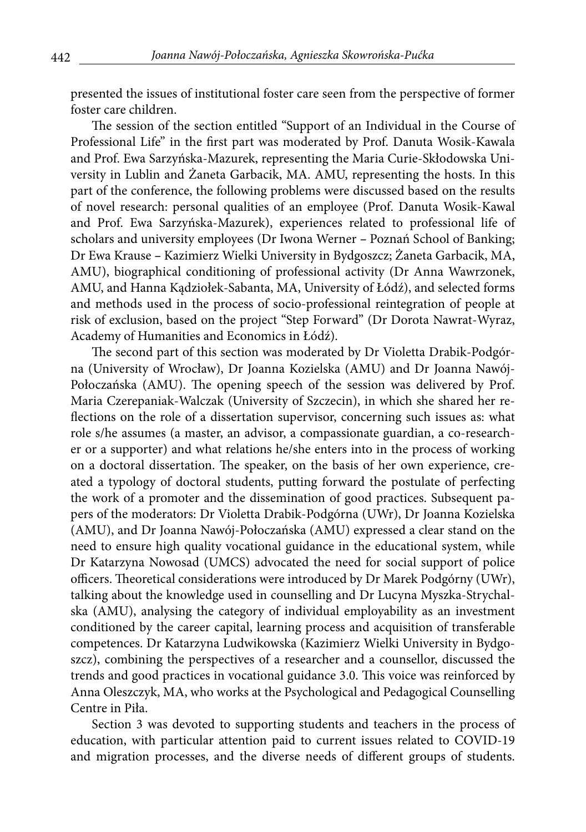presented the issues of institutional foster care seen from the perspective of former foster care children.

The session of the section entitled "Support of an Individual in the Course of Professional Life" in the first part was moderated by Prof. Danuta Wosik-Kawala and Prof. Ewa Sarzyńska-Mazurek, representing the Maria Curie-Skłodowska University in Lublin and Żaneta Garbacik, MA. AMU, representing the hosts. In this part of the conference, the following problems were discussed based on the results of novel research: personal qualities of an employee (Prof. Danuta Wosik-Kawal and Prof. Ewa Sarzyńska-Mazurek), experiences related to professional life of scholars and university employees (Dr Iwona Werner *–* Poznań School of Banking; Dr Ewa Krause *–* Kazimierz Wielki University in Bydgoszcz; Żaneta Garbacik, MA, AMU), biographical conditioning of professional activity (Dr Anna Wawrzonek, AMU, and Hanna Kądziołek-Sabanta, MA, University of Łódź), and selected forms and methods used in the process of socio-professional reintegration of people at risk of exclusion, based on the project "Step Forward" (Dr Dorota Nawrat-Wyraz, Academy of Humanities and Economics in Łódź).

The second part of this section was moderated by Dr Violetta Drabik-Podgórna (University of Wrocław), Dr Joanna Kozielska (AMU) and Dr Joanna Nawój-Połoczańska (AMU). The opening speech of the session was delivered by Prof. Maria Czerepaniak-Walczak (University of Szczecin), in which she shared her reflections on the role of a dissertation supervisor, concerning such issues as: what role s/he assumes (a master, an advisor, a compassionate guardian, a co-researcher or a supporter) and what relations he/she enters into in the process of working on a doctoral dissertation. The speaker, on the basis of her own experience, created a typology of doctoral students, putting forward the postulate of perfecting the work of a promoter and the dissemination of good practices. Subsequent papers of the moderators: Dr Violetta Drabik-Podgórna (UWr), Dr Joanna Kozielska (AMU), and Dr Joanna Nawój-Połoczańska (AMU) expressed a clear stand on the need to ensure high quality vocational guidance in the educational system, while Dr Katarzyna Nowosad (UMCS) advocated the need for social support of police officers. Theoretical considerations were introduced by Dr Marek Podgórny (UWr), talking about the knowledge used in counselling and Dr Lucyna Myszka-Strychalska (AMU), analysing the category of individual employability as an investment conditioned by the career capital, learning process and acquisition of transferable competences. Dr Katarzyna Ludwikowska (Kazimierz Wielki University in Bydgoszcz), combining the perspectives of a researcher and a counsellor, discussed the trends and good practices in vocational guidance 3.0. This voice was reinforced by Anna Oleszczyk, MA, who works at the Psychological and Pedagogical Counselling Centre in Piła.

Section 3 was devoted to supporting students and teachers in the process of education, with particular attention paid to current issues related to COVID-19 and migration processes, and the diverse needs of different groups of students.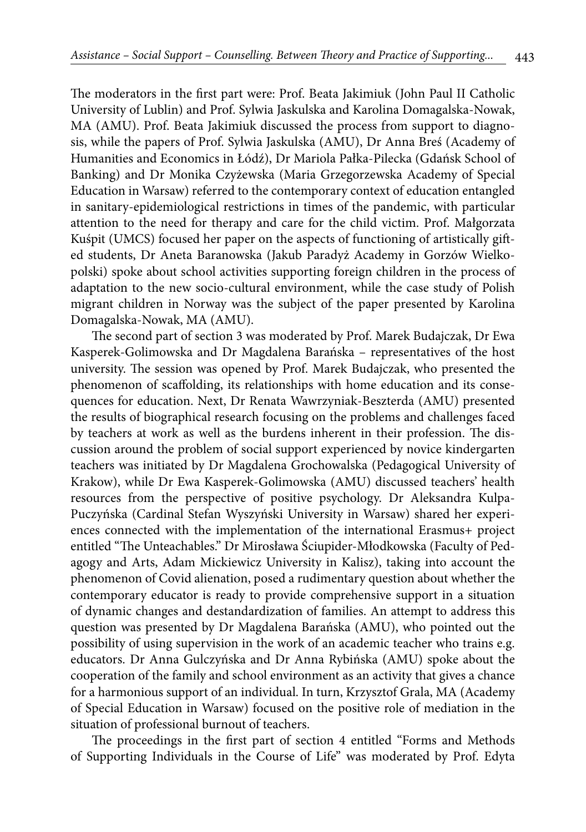The moderators in the first part were: Prof. Beata Jakimiuk (John Paul II Catholic University of Lublin) and Prof. Sylwia Jaskulska and Karolina Domagalska-Nowak, MA (AMU). Prof. Beata Jakimiuk discussed the process from support to diagnosis, while the papers of Prof. Sylwia Jaskulska (AMU), Dr Anna Breś (Academy of Humanities and Economics in Łódź), Dr Mariola Pałka-Pilecka (Gdańsk School of Banking) and Dr Monika Czyżewska (Maria Grzegorzewska Academy of Special Education in Warsaw) referred to the contemporary context of education entangled in sanitary-epidemiological restrictions in times of the pandemic, with particular attention to the need for therapy and care for the child victim. Prof. Małgorzata Kuśpit (UMCS) focused her paper on the aspects of functioning of artistically gifted students, Dr Aneta Baranowska (Jakub Paradyż Academy in Gorzów Wielkopolski) spoke about school activities supporting foreign children in the process of adaptation to the new socio-cultural environment, while the case study of Polish migrant children in Norway was the subject of the paper presented by Karolina Domagalska-Nowak, MA (AMU).

The second part of section 3 was moderated by Prof. Marek Budajczak, Dr Ewa Kasperek-Golimowska and Dr Magdalena Barańska – representatives of the host university. The session was opened by Prof. Marek Budajczak, who presented the phenomenon of scaffolding, its relationships with home education and its consequences for education. Next, Dr Renata Wawrzyniak-Beszterda (AMU) presented the results of biographical research focusing on the problems and challenges faced by teachers at work as well as the burdens inherent in their profession. The discussion around the problem of social support experienced by novice kindergarten teachers was initiated by Dr Magdalena Grochowalska (Pedagogical University of Krakow), while Dr Ewa Kasperek-Golimowska (AMU) discussed teachers' health resources from the perspective of positive psychology. Dr Aleksandra Kulpa-Puczyńska (Cardinal Stefan Wyszyński University in Warsaw) shared her experiences connected with the implementation of the international Erasmus+ project entitled "The Unteachables." Dr Mirosława Ściupider-Młodkowska (Faculty of Pedagogy and Arts, Adam Mickiewicz University in Kalisz), taking into account the phenomenon of Covid alienation, posed a rudimentary question about whether the contemporary educator is ready to provide comprehensive support in a situation of dynamic changes and destandardization of families. An attempt to address this question was presented by Dr Magdalena Barańska (AMU), who pointed out the possibility of using supervision in the work of an academic teacher who trains e.g. educators. Dr Anna Gulczyńska and Dr Anna Rybińska (AMU) spoke about the cooperation of the family and school environment as an activity that gives a chance for a harmonious support of an individual. In turn, Krzysztof Grala, MA (Academy of Special Education in Warsaw) focused on the positive role of mediation in the situation of professional burnout of teachers.

The proceedings in the first part of section 4 entitled "Forms and Methods of Supporting Individuals in the Course of Life" was moderated by Prof. Edyta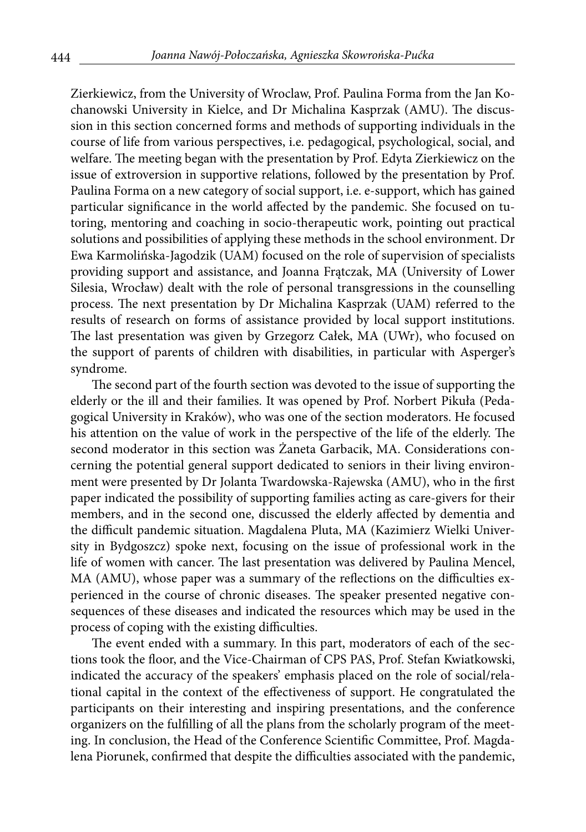Zierkiewicz, from the University of Wroclaw, Prof. Paulina Forma from the Jan Kochanowski University in Kielce, and Dr Michalina Kasprzak (AMU). The discussion in this section concerned forms and methods of supporting individuals in the course of life from various perspectives, i.e. pedagogical, psychological, social, and welfare. The meeting began with the presentation by Prof. Edyta Zierkiewicz on the issue of extroversion in supportive relations, followed by the presentation by Prof. Paulina Forma on a new category of social support, i.e. e-support, which has gained particular significance in the world affected by the pandemic. She focused on tutoring, mentoring and coaching in socio-therapeutic work, pointing out practical solutions and possibilities of applying these methods in the school environment. Dr Ewa Karmolińska-Jagodzik (UAM) focused on the role of supervision of specialists providing support and assistance, and Joanna Frątczak, MA (University of Lower Silesia, Wrocław) dealt with the role of personal transgressions in the counselling process. The next presentation by Dr Michalina Kasprzak (UAM) referred to the results of research on forms of assistance provided by local support institutions. The last presentation was given by Grzegorz Całek, MA (UWr), who focused on the support of parents of children with disabilities, in particular with Asperger's syndrome.

The second part of the fourth section was devoted to the issue of supporting the elderly or the ill and their families. It was opened by Prof. Norbert Pikuła (Pedagogical University in Kraków), who was one of the section moderators. He focused his attention on the value of work in the perspective of the life of the elderly. The second moderator in this section was Żaneta Garbacik, MA. Considerations concerning the potential general support dedicated to seniors in their living environment were presented by Dr Jolanta Twardowska-Rajewska (AMU), who in the first paper indicated the possibility of supporting families acting as care-givers for their members, and in the second one, discussed the elderly affected by dementia and the difficult pandemic situation. Magdalena Pluta, MA (Kazimierz Wielki University in Bydgoszcz) spoke next, focusing on the issue of professional work in the life of women with cancer. The last presentation was delivered by Paulina Mencel, MA (AMU), whose paper was a summary of the reflections on the difficulties experienced in the course of chronic diseases. The speaker presented negative consequences of these diseases and indicated the resources which may be used in the process of coping with the existing difficulties.

The event ended with a summary. In this part, moderators of each of the sections took the floor, and the Vice-Chairman of CPS PAS, Prof. Stefan Kwiatkowski, indicated the accuracy of the speakers' emphasis placed on the role of social/relational capital in the context of the effectiveness of support. He congratulated the participants on their interesting and inspiring presentations, and the conference organizers on the fulfilling of all the plans from the scholarly program of the meeting. In conclusion, the Head of the Conference Scientific Committee, Prof. Magdalena Piorunek, confirmed that despite the difficulties associated with the pandemic,